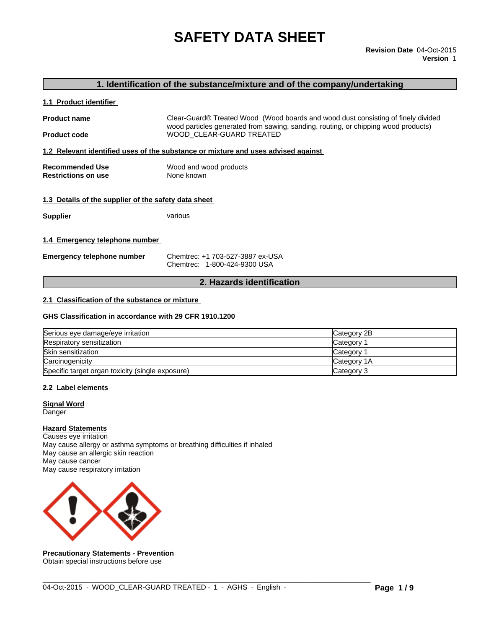# **SAFETY DATA SHEET**

# **1. Identification of the substance/mixture and of the company/undertaking**

#### **1.1 Product identifier**

**Product name** Clear-Guard® Treated Wood (Wood boards and wood dust consisting of finely divided wood particles generated from sawing, sanding, routing, or chipping wood products) **Product code WOOD\_CLEAR-GUARD TREATED** 

**1.2 Relevant identified uses of the substance or mixture and uses advised against** 

| Recommended Use            | Wood and wood products |
|----------------------------|------------------------|
| <b>Restrictions on use</b> | None known             |

#### **1.3 Details of the supplier of the safety data sheet**

**Supplier** various

#### **1.4 Emergency telephone number**

| <b>Emergency telephone number</b> | Chemtrec: +1 703-527-3887 ex-USA |
|-----------------------------------|----------------------------------|
|                                   | Chemtrec: 1-800-424-9300 USA     |

#### **2. Hazards identification**

#### **2.1 Classification of the substance or mixture**

#### **GHS Classification in accordance with 29 CFR 1910.1200**

| Serious eye damage/eye irritation                | Category 2B |
|--------------------------------------------------|-------------|
| Respiratory sensitization                        | Category    |
| Skin sensitization                               | Category    |
| Carcinogenicity                                  | Category 1A |
| Specific target organ toxicity (single exposure) | Category 3  |

 $\_$  ,  $\_$  ,  $\_$  ,  $\_$  ,  $\_$  ,  $\_$  ,  $\_$  ,  $\_$  ,  $\_$  ,  $\_$  ,  $\_$  ,  $\_$  ,  $\_$  ,  $\_$  ,  $\_$  ,  $\_$  ,  $\_$  ,  $\_$  ,  $\_$  ,  $\_$  ,  $\_$  ,  $\_$  ,  $\_$  ,  $\_$  ,  $\_$  ,  $\_$  ,  $\_$  ,  $\_$  ,  $\_$  ,  $\_$  ,  $\_$  ,  $\_$  ,  $\_$  ,  $\_$  ,  $\_$  ,  $\_$  ,  $\_$  ,

#### **2.2 Label elements**

#### **Signal Word Danger**

### **Hazard Statements**

Causes eye irritation May cause allergy or asthma symptoms or breathing difficulties if inhaled May cause an allergic skin reaction May cause cancer May cause respiratory irritation



**Precautionary Statements - Prevention** Obtain special instructions before use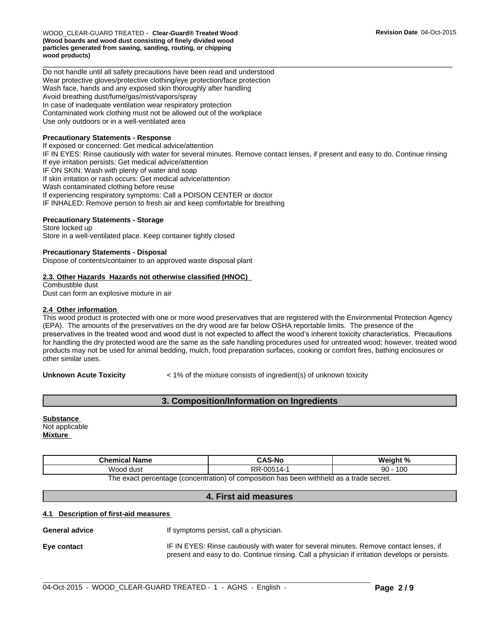WOOD\_CLEAR-GUARD TREATED - **Clear-Guard® Treated Wood (Wood boards and wood dust consisting of finely divided wood particles generated from sawing, sanding, routing, or chipping wood products)**

Do not handle until all safety precautions have been read and understood Wear protective gloves/protective clothing/eye protection/face protection Wash face, hands and any exposed skin thoroughly after handling Avoid breathing dust/fume/gas/mist/vapors/spray In case of inadequate ventilation wear respiratory protection Contaminated work clothing must not be allowed out of the workplace Use only outdoors or in a well-ventilated area

#### **Precautionary Statements - Response**

If exposed or concerned: Get medical advice/attention IF IN EYES: Rinse cautiously with water for several minutes. Remove contact lenses, if present and easy to do. Continue rinsing If eye irritation persists: Get medical advice/attention IF ON SKIN: Wash with plenty of water and soap If skin irritation or rash occurs: Get medical advice/attention Wash contaminated clothing before reuse If experiencing respiratory symptoms: Call a POISON CENTER or doctor IF INHALED: Remove person to fresh air and keep comfortable for breathing

#### **Precautionary Statements - Storage**

Store locked up Store in a well-ventilated place. Keep container tightly closed

#### **Precautionary Statements - Disposal**

Dispose of contents/container to an approved waste disposal plant

#### **2.3. Other Hazards Hazards not otherwise classified (HNOC)**

Combustible dust Dust can form an explosive mixture in air

#### **2.4 Other information**

This wood product is protected with one or more wood preservatives that are registered with the Environmental Protection Agency (EPA). The amounts of the preservatives on the dry wood are far below OSHA reportable limits. The presence of the preservatives in the treated wood and wood dust is not expected to affect the wood's inherent toxicity characteristics. Precautions for handling the dry protected wood are the same as the safe handling procedures used for untreated wood; however, treated wood products may not be used for animal bedding, mulch, food preparation surfaces, cooking or comfort fires, bathing enclosures or other similar uses.

**Unknown Acute Toxicity**  $\lt$  1% of the mixture consists of ingredient(s) of unknown toxicity

 $\overline{\phantom{a}}$  ,  $\overline{\phantom{a}}$  ,  $\overline{\phantom{a}}$  ,  $\overline{\phantom{a}}$  ,  $\overline{\phantom{a}}$  ,  $\overline{\phantom{a}}$  ,  $\overline{\phantom{a}}$  ,  $\overline{\phantom{a}}$  ,  $\overline{\phantom{a}}$  ,  $\overline{\phantom{a}}$  ,  $\overline{\phantom{a}}$  ,  $\overline{\phantom{a}}$  ,  $\overline{\phantom{a}}$  ,  $\overline{\phantom{a}}$  ,  $\overline{\phantom{a}}$  ,  $\overline{\phantom{a}}$ 

# **3. Composition/Information on Ingredients**

**Substance**  Not applicable **Mixture** 

| Chemical No.<br>Name | $\ddot{\phantom{1}}$                                                  | $M \sim I \sim h + 0$ |
|----------------------|-----------------------------------------------------------------------|-----------------------|
| .<br>Wood<br>dust    | <b>DD</b><br>$\cap \cap F$<br>، д.<br><br>πı<br>. <i>.</i> . <i>.</i> | 100<br>റ<br>ິບ        |

The exact percentage (concentration) of composition has been withheld as a trade secret.

#### **4. First aid measures**

#### **4.1 Description of first-aid measures**

**General advice If symptoms persist, call a physician.** 

**Eye contact IF IN EYES: Rinse cautiously with water for several minutes. Remove contact lenses, if** present and easy to do. Continue rinsing. Call a physician if irritation develops or persists.

 $\_$  ,  $\_$  ,  $\_$  ,  $\_$  ,  $\_$  ,  $\_$  ,  $\_$  ,  $\_$  ,  $\_$  ,  $\_$  ,  $\_$  ,  $\_$  ,  $\_$  ,  $\_$  ,  $\_$  ,  $\_$  ,  $\_$  ,  $\_$  ,  $\_$  ,  $\_$  ,  $\_$  ,  $\_$  ,  $\_$  ,  $\_$  ,  $\_$  ,  $\_$  ,  $\_$  ,  $\_$  ,  $\_$  ,  $\_$  ,  $\_$  ,  $\_$  ,  $\_$  ,  $\_$  ,  $\_$  ,  $\_$  ,  $\_$  ,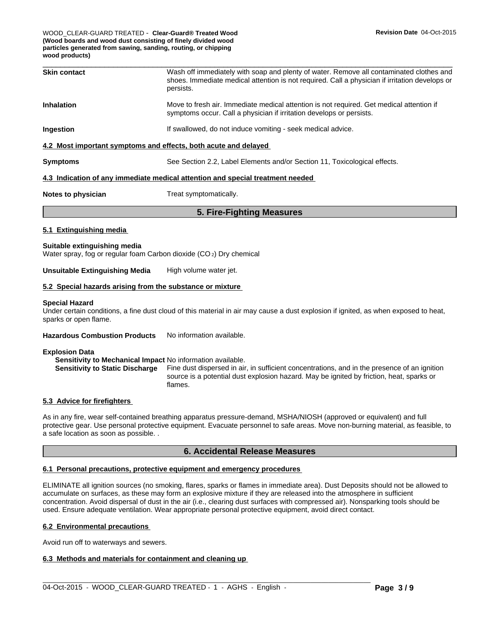WOOD\_CLEAR-GUARD TREATED - **Clear-Guard® Treated Wood (Wood boards and wood dust consisting of finely divided wood particles generated from sawing, sanding, routing, or chipping wood products)**

| <b>Skin contact</b> | Wash off immediately with soap and plenty of water. Remove all contaminated clothes and<br>shoes. Immediate medical attention is not required. Call a physician if irritation develops or<br>persists. |
|---------------------|--------------------------------------------------------------------------------------------------------------------------------------------------------------------------------------------------------|
| <b>Inhalation</b>   | Move to fresh air. Immediate medical attention is not required. Get medical attention if<br>symptoms occur. Call a physician if irritation develops or persists.                                       |
| <b>Ingestion</b>    | If swallowed, do not induce vomiting - seek medical advice.                                                                                                                                            |
|                     | 4.2 Most important symptoms and effects, both acute and delayed                                                                                                                                        |
| <b>Symptoms</b>     | See Section 2.2, Label Elements and/or Section 11, Toxicological effects.                                                                                                                              |
|                     |                                                                                                                                                                                                        |

#### **4.3 Indication of any immediate medical attention and special treatment needed**

**Notes to physician** Treat symptomatically.

# **5. Fire-Fighting Measures**

#### **5.1 Extinguishing media**

#### **Suitable extinguishing media**

Water spray, fog or regular foam Carbon dioxide (CO 2) Dry chemical

#### **Unsuitable Extinguishing Media** High volume water jet.

#### **5.2 Special hazards arising from the substance or mixture**

#### **Special Hazard**

Under certain conditions, a fine dust cloud of this material in air may cause a dust explosion if ignited, as when exposed to heat, sparks or open flame.

#### **Hazardous Combustion Products** No information available.

#### **Explosion Data**

**Sensitivity to Mechanical Impact** No information available.

**Sensitivity to Static Discharge** Fine dust dispersed in air, in sufficient concentrations, and in the presence of an ignition source is a potential dust explosion hazard. May be ignited by friction, heat, sparks or flames.

#### **5.3 Advice for firefighters**

As in any fire, wear self-contained breathing apparatus pressure-demand, MSHA/NIOSH (approved or equivalent) and full protective gear. Use personal protective equipment. Evacuate personnel to safe areas. Move non-burning material, as feasible, to a safe location as soon as possible. .

#### **6. Accidental Release Measures**

#### **6.1 Personal precautions, protective equipment and emergency procedures**

ELIMINATE all ignition sources (no smoking, flares, sparks or flames in immediate area). Dust Deposits should not be allowed to accumulate on surfaces, as these may form an explosive mixture if they are released into the atmosphere in sufficient concentration. Avoid dispersal of dust in the air (i.e., clearing dust surfaces with compressed air). Nonsparking tools should be used. Ensure adequate ventilation. Wear appropriate personal protective equipment, avoid direct contact.

### **6.2 Environmental precautions**

Avoid run off to waterways and sewers.

#### **6.3 Methods and materials for containment and cleaning up**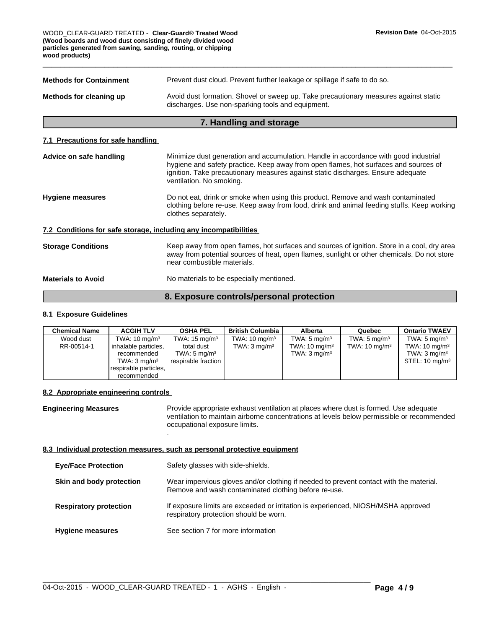$\overline{\phantom{a}}$  ,  $\overline{\phantom{a}}$  ,  $\overline{\phantom{a}}$  ,  $\overline{\phantom{a}}$  ,  $\overline{\phantom{a}}$  ,  $\overline{\phantom{a}}$  ,  $\overline{\phantom{a}}$  ,  $\overline{\phantom{a}}$  ,  $\overline{\phantom{a}}$  ,  $\overline{\phantom{a}}$  ,  $\overline{\phantom{a}}$  ,  $\overline{\phantom{a}}$  ,  $\overline{\phantom{a}}$  ,  $\overline{\phantom{a}}$  ,  $\overline{\phantom{a}}$  ,  $\overline{\phantom{a}}$ WOOD\_CLEAR-GUARD TREATED - **Clear-Guard® Treated Wood (Wood boards and wood dust consisting of finely divided wood particles generated from sawing, sanding, routing, or chipping wood products)**

| <b>Methods for Containment</b> | Prevent dust cloud. Prevent further leakage or spillage if safe to do so.                                                                 |
|--------------------------------|-------------------------------------------------------------------------------------------------------------------------------------------|
| Methods for cleaning up        | Avoid dust formation. Shovel or sweep up. Take precautionary measures against static<br>discharges. Use non-sparking tools and equipment. |

# **7. Handling and storage**

#### **7.1 Precautions for safe handling**

| Advice on safe handling                                          | Minimize dust generation and accumulation. Handle in accordance with good industrial<br>hygiene and safety practice. Keep away from open flames, hot surfaces and sources of<br>ignition. Take precautionary measures against static discharges. Ensure adequate<br>ventilation. No smoking. |
|------------------------------------------------------------------|----------------------------------------------------------------------------------------------------------------------------------------------------------------------------------------------------------------------------------------------------------------------------------------------|
| <b>Hygiene measures</b>                                          | Do not eat, drink or smoke when using this product. Remove and wash contaminated<br>clothing before re-use. Keep away from food, drink and animal feeding stuffs. Keep working<br>clothes separately.                                                                                        |
| 7.2 Conditions for safe storage, including any incompatibilities |                                                                                                                                                                                                                                                                                              |
| <b>Storage Conditions</b>                                        | Keep away from open flames, hot surfaces and sources of ignition. Store in a cool, dry area<br>away from potential sources of heat, open flames, sunlight or other chemicals. Do not store<br>near combustible materials.                                                                    |
| <b>Materials to Avoid</b>                                        | No materials to be especially mentioned.                                                                                                                                                                                                                                                     |
|                                                                  |                                                                                                                                                                                                                                                                                              |

# **8. Exposure controls/personal protection**

# **8.1 Exposure Guidelines**

| <b>Chemical Name</b> | <b>ACGIH TLV</b>         | <b>OSHA PEL</b>          | <b>British Columbia</b>  | <b>Alberta</b>           | Quebec                   | <b>Ontario TWAEV</b>      |
|----------------------|--------------------------|--------------------------|--------------------------|--------------------------|--------------------------|---------------------------|
| Wood dust            | TWA: $10 \text{ mg/m}^3$ | TWA: $15 \text{ mg/m}^3$ | TWA: $10 \text{ mg/m}^3$ | TWA: $5 \text{ mg/m}^3$  | TWA: $5 \text{ mg/m}^3$  | TWA: $5 \text{ mg/m}^3$   |
| RR-00514-1           | inhalable particles,     | total dust               | TWA: $3 \text{ mg/m}^3$  | TWA: $10 \text{ mg/m}^3$ | TWA: $10 \text{ mg/m}^3$ | TWA: $10 \text{ mg/m}^3$  |
|                      | recommended              | TWA: 5 mg/m $^3\,$       |                          | TWA: $3 \text{ mg/m}^3$  |                          | TWA: $3 \text{ mg/m}^3$   |
|                      | TWA: $3 \text{ mg/m}^3$  | respirable fraction      |                          |                          |                          | STEL: $10 \text{ mg/m}^3$ |
|                      | respirable particles,    |                          |                          |                          |                          |                           |
|                      | recommended              |                          |                          |                          |                          |                           |

# **8.2 Appropriate engineering controls**

**Engineering Measures** Provide appropriate exhaust ventilation at places where dust is formed. Use adequate ventilation to maintain airborne concentrations at levels below permissible or recommended occupational exposure limits.

# **8.3 Individual protection measures, such as personal protective equipment**

.

| <b>Eye/Face Protection</b>    | Safety glasses with side-shields.                                                                                                              |
|-------------------------------|------------------------------------------------------------------------------------------------------------------------------------------------|
| Skin and body protection      | Wear impervious gloves and/or clothing if needed to prevent contact with the material.<br>Remove and wash contaminated clothing before re-use. |
| <b>Respiratory protection</b> | If exposure limits are exceeded or irritation is experienced, NIOSH/MSHA approved<br>respiratory protection should be worn.                    |
| <b>Hygiene measures</b>       | See section 7 for more information                                                                                                             |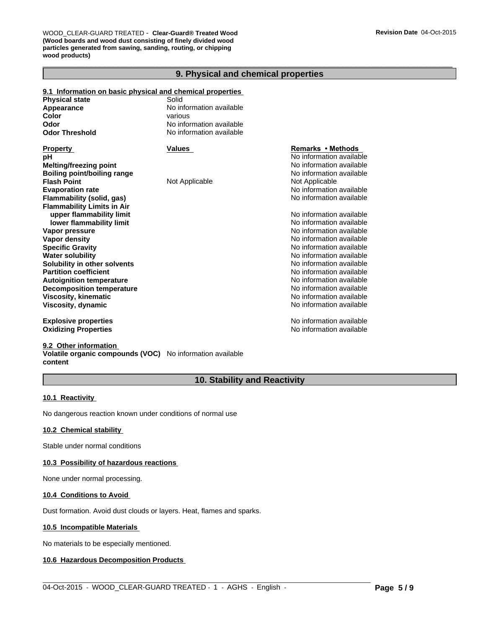$\overline{\phantom{a}}$  ,  $\overline{\phantom{a}}$  ,  $\overline{\phantom{a}}$  ,  $\overline{\phantom{a}}$  ,  $\overline{\phantom{a}}$  ,  $\overline{\phantom{a}}$  ,  $\overline{\phantom{a}}$  ,  $\overline{\phantom{a}}$  ,  $\overline{\phantom{a}}$  ,  $\overline{\phantom{a}}$  ,  $\overline{\phantom{a}}$  ,  $\overline{\phantom{a}}$  ,  $\overline{\phantom{a}}$  ,  $\overline{\phantom{a}}$  ,  $\overline{\phantom{a}}$  ,  $\overline{\phantom{a}}$ WOOD\_CLEAR-GUARD TREATED - **Clear-Guard® Treated Wood (Wood boards and wood dust consisting of finely divided wood particles generated from sawing, sanding, routing, or chipping wood products)**

# **9. Physical and chemical properties**

| 9.1 Information on basic physical and chemical properties |                          |                          |
|-----------------------------------------------------------|--------------------------|--------------------------|
| <b>Physical state</b>                                     | Solid                    |                          |
| Appearance                                                | No information available |                          |
| Color                                                     | various                  |                          |
| Odor                                                      | No information available |                          |
| <b>Odor Threshold</b>                                     | No information available |                          |
| <b>Property</b>                                           | Values                   | Remarks • Methods        |
| рH                                                        |                          | No information available |
| Melting/freezing point                                    |                          | No information available |
| <b>Boiling point/boiling range</b>                        |                          | No information available |
| <b>Flash Point</b>                                        | Not Applicable           | Not Applicable           |
| <b>Evaporation rate</b>                                   |                          | No information available |
| Flammability (solid, gas)                                 |                          | No information available |
| <b>Flammability Limits in Air</b>                         |                          |                          |
| upper flammability limit                                  |                          | No information available |
| lower flammability limit                                  |                          | No information available |
| Vapor pressure                                            |                          | No information available |
| Vapor density                                             |                          | No information available |
| <b>Specific Gravity</b>                                   |                          | No information available |
| <b>Water solubility</b>                                   |                          | No information available |
| Solubility in other solvents                              |                          | No information available |
| <b>Partition coefficient</b>                              |                          | No information available |
| <b>Autoignition temperature</b>                           |                          | No information available |
| <b>Decomposition temperature</b>                          |                          | No information available |
| <b>Viscosity, kinematic</b>                               |                          | No information available |
| Viscosity, dynamic                                        |                          | No information available |
| <b>Explosive properties</b>                               |                          | No information available |
| <b>Oxidizing Properties</b>                               |                          | No information available |

#### **9.2 Other information**

**Volatile organic compounds (VOC)** No information available **content**

# **10. Stability and Reactivity**

 $\_$  ,  $\_$  ,  $\_$  ,  $\_$  ,  $\_$  ,  $\_$  ,  $\_$  ,  $\_$  ,  $\_$  ,  $\_$  ,  $\_$  ,  $\_$  ,  $\_$  ,  $\_$  ,  $\_$  ,  $\_$  ,  $\_$  ,  $\_$  ,  $\_$  ,  $\_$  ,  $\_$  ,  $\_$  ,  $\_$  ,  $\_$  ,  $\_$  ,  $\_$  ,  $\_$  ,  $\_$  ,  $\_$  ,  $\_$  ,  $\_$  ,  $\_$  ,  $\_$  ,  $\_$  ,  $\_$  ,  $\_$  ,  $\_$  ,

#### **10.1 Reactivity**

No dangerous reaction known under conditions of normal use

#### **10.2 Chemical stability**

Stable under normal conditions

# **10.3 Possibility of hazardous reactions**

None under normal processing.

#### **10.4 Conditions to Avoid**

Dust formation. Avoid dust clouds or layers. Heat, flames and sparks.

#### **10.5 Incompatible Materials**

No materials to be especially mentioned.

#### **10.6 Hazardous Decomposition Products**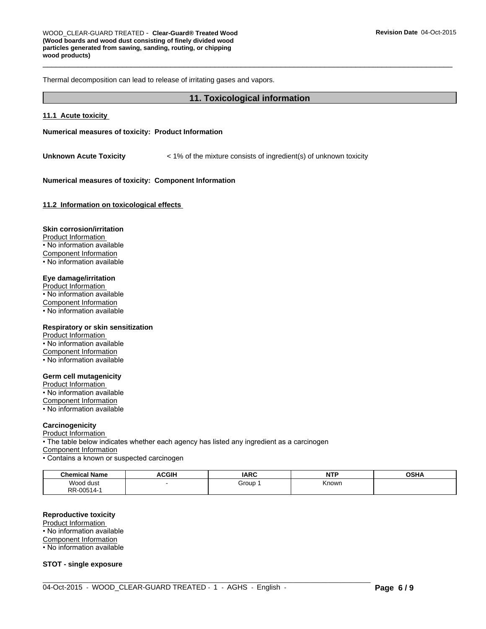Thermal decomposition can lead to release of irritating gases and vapors.

#### **11. Toxicological information**

#### **11.1 Acute toxicity**

#### **Numerical measures of toxicity: Product Information**

**Unknown Acute Toxicity**  $\leq 1\%$  of the mixture consists of ingredient(s) of unknown toxicity

#### **Numerical measures of toxicity: Component Information**

**11.2 Information on toxicological effects** 

#### **Skin corrosion/irritation**

Product Information • No information available Component Information • No information available

#### **Eye damage/irritation**

Product Information  $\overline{\cdot}$  No information available Component Information • No information available

# **Respiratory or skin sensitization**

Product Information • No information available Component Information • No information available

#### **Germ cell mutagenicity**

Product Information • No information available Component Information • No information available

#### **Carcinogenicity**

Product Information

• The table below indicates whether each agency has listed any ingredient as a carcinogen Component Information • Contains a known or suspected carcinogen

| <b>Chemical Name</b> | <b>ACGIH</b> | <b>IARC</b> | <b>NTP</b><br>. | <b>OSHA</b> |
|----------------------|--------------|-------------|-----------------|-------------|
| Wood dust<br>.       |              | Group       | Known           |             |
| RR-00514-            |              |             |                 |             |

 $\_$  ,  $\_$  ,  $\_$  ,  $\_$  ,  $\_$  ,  $\_$  ,  $\_$  ,  $\_$  ,  $\_$  ,  $\_$  ,  $\_$  ,  $\_$  ,  $\_$  ,  $\_$  ,  $\_$  ,  $\_$  ,  $\_$  ,  $\_$  ,  $\_$  ,  $\_$  ,  $\_$  ,  $\_$  ,  $\_$  ,  $\_$  ,  $\_$  ,  $\_$  ,  $\_$  ,  $\_$  ,  $\_$  ,  $\_$  ,  $\_$  ,  $\_$  ,  $\_$  ,  $\_$  ,  $\_$  ,  $\_$  ,  $\_$  ,

#### **Reproductive toxicity**

Product Information

• No information available

Component Information

• No information available

**STOT - single exposure**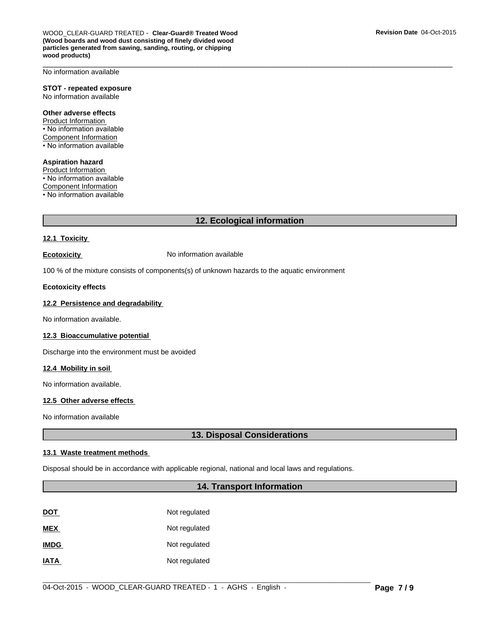$\overline{\phantom{a}}$  ,  $\overline{\phantom{a}}$  ,  $\overline{\phantom{a}}$  ,  $\overline{\phantom{a}}$  ,  $\overline{\phantom{a}}$  ,  $\overline{\phantom{a}}$  ,  $\overline{\phantom{a}}$  ,  $\overline{\phantom{a}}$  ,  $\overline{\phantom{a}}$  ,  $\overline{\phantom{a}}$  ,  $\overline{\phantom{a}}$  ,  $\overline{\phantom{a}}$  ,  $\overline{\phantom{a}}$  ,  $\overline{\phantom{a}}$  ,  $\overline{\phantom{a}}$  ,  $\overline{\phantom{a}}$ No information available

#### **STOT - repeated exposure** No information available

#### **Other adverse effects**

Product Information • No information available Component Information • No information available

# **Aspiration hazard**

Product Information • No information available Component Information • No information available

# **12. Ecological information**

# **12.1 Toxicity**

**Ecotoxicity No information available** 

100 % of the mixture consists of components(s) of unknown hazards to the aquatic environment

#### **Ecotoxicity effects**

# **12.2 Persistence and degradability**

No information available.

#### **12.3 Bioaccumulative potential**

Discharge into the environment must be avoided

#### **12.4 Mobility in soil**

No information available.

#### **12.5 Other adverse effects**

No information available

# **13. Disposal Considerations**

#### **13.1 Waste treatment methods**

Disposal should be in accordance with applicable regional, national and local laws and regulations.

# **14. Transport Information**

| DOT         | Not regulated |
|-------------|---------------|
| <b>MEX</b>  | Not regulated |
| <b>IMDG</b> | Not regulated |
| IATA        | Not regulated |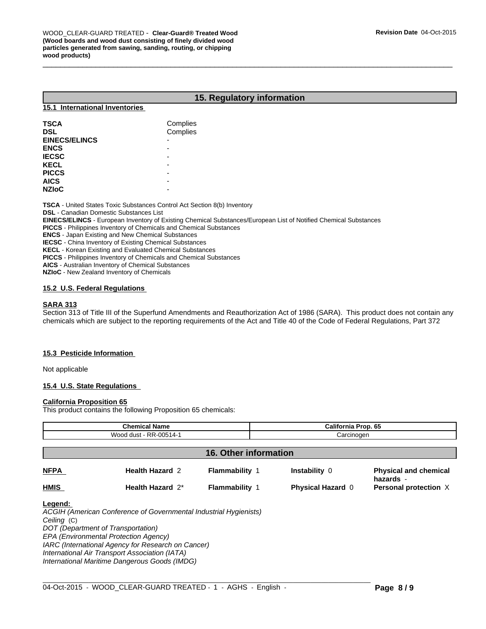# **15. Regulatory information**

# **15.1 International Inventories**

| <b>TSCA</b><br><b>DSL</b>   | Complies<br>Complies |
|-----------------------------|----------------------|
| <b>EINECS/ELINCS</b>        | -                    |
| <b>ENCS</b><br><b>IECSC</b> | -                    |
| <b>KECL</b>                 | -                    |
| <b>PICCS</b><br><b>AICS</b> | -<br>-               |
| <b>NZIoC</b>                | -                    |

**TSCA** - United States Toxic Substances Control Act Section 8(b) Inventory

**DSL** - Canadian Domestic Substances List

**EINECS/ELINCS** - European Inventory of Existing Chemical Substances/European List of Notified Chemical Substances

**PICCS** - Philippines Inventory of Chemicals and Chemical Substances

**ENCS** - Japan Existing and New Chemical Substances

**IECSC** - China Inventory of Existing Chemical Substances

**KECL** - Korean Existing and Evaluated Chemical Substances

**PICCS** - Philippines Inventory of Chemicals and Chemical Substances

**AICS** - Australian Inventory of Chemical Substances

**NZIoC** - New Zealand Inventory of Chemicals

## **15.2 U.S. Federal Regulations**

#### **SARA 313**

Section 313 of Title III of the Superfund Amendments and Reauthorization Act of 1986 (SARA). This product does not contain any chemicals which are subject to the reporting requirements of the Act and Title 40 of the Code of Federal Regulations, Part 372

#### **15.3 Pesticide Information**

Not applicable

#### **15.4 U.S. State Regulations**

#### **California Proposition 65**

This product contains the following Proposition 65 chemicals:

| <b>Chemical Name</b><br>Wood dust - RR-00514-1 |                                                                                                                                                                                                                                                                                                           |                              | <b>California Prop. 65</b><br>Carcinogen |                                           |
|------------------------------------------------|-----------------------------------------------------------------------------------------------------------------------------------------------------------------------------------------------------------------------------------------------------------------------------------------------------------|------------------------------|------------------------------------------|-------------------------------------------|
|                                                |                                                                                                                                                                                                                                                                                                           |                              |                                          |                                           |
|                                                |                                                                                                                                                                                                                                                                                                           | <b>16. Other information</b> |                                          |                                           |
| <b>NFPA</b>                                    | <b>Health Hazard 2</b>                                                                                                                                                                                                                                                                                    | <b>Flammability 1</b>        | <b>Instability 0</b>                     | <b>Physical and chemical</b><br>hazards - |
| HMIS                                           | Health Hazard 2*                                                                                                                                                                                                                                                                                          | <b>Flammability 1</b>        | <b>Physical Hazard 0</b>                 | Personal protection X                     |
| Legend:<br>Ceiling (C)                         | ACGIH (American Conference of Governmental Industrial Hygienists)<br>DOT (Department of Transportation)<br>EPA (Environmental Protection Agency)<br>IARC (International Agency for Research on Cancer)<br>International Air Transport Association (IATA)<br>International Maritime Dangerous Goods (IMDG) |                              |                                          |                                           |